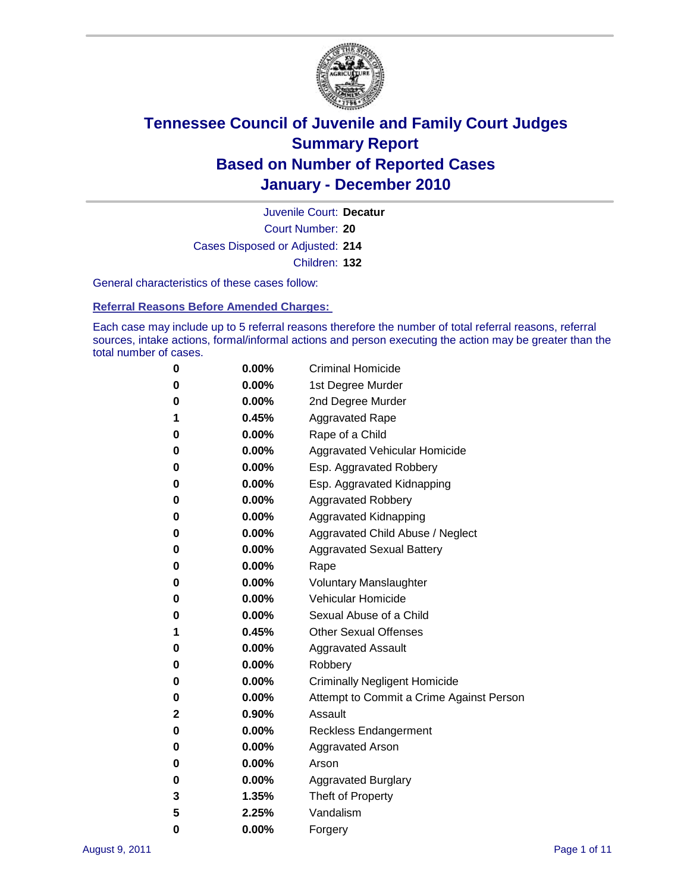

Court Number: **20** Juvenile Court: **Decatur** Cases Disposed or Adjusted: **214** Children: **132**

General characteristics of these cases follow:

**Referral Reasons Before Amended Charges:** 

Each case may include up to 5 referral reasons therefore the number of total referral reasons, referral sources, intake actions, formal/informal actions and person executing the action may be greater than the total number of cases.

| 0 | $0.00\%$ | <b>Criminal Homicide</b>                 |
|---|----------|------------------------------------------|
| 0 | $0.00\%$ | 1st Degree Murder                        |
| 0 | $0.00\%$ | 2nd Degree Murder                        |
| 1 | 0.45%    | <b>Aggravated Rape</b>                   |
| 0 | $0.00\%$ | Rape of a Child                          |
| 0 | $0.00\%$ | Aggravated Vehicular Homicide            |
| 0 | $0.00\%$ | Esp. Aggravated Robbery                  |
| 0 | $0.00\%$ | Esp. Aggravated Kidnapping               |
| 0 | $0.00\%$ | <b>Aggravated Robbery</b>                |
| 0 | $0.00\%$ | Aggravated Kidnapping                    |
| 0 | 0.00%    | Aggravated Child Abuse / Neglect         |
| 0 | 0.00%    | <b>Aggravated Sexual Battery</b>         |
| 0 | $0.00\%$ | Rape                                     |
| 0 | $0.00\%$ | <b>Voluntary Manslaughter</b>            |
| 0 | $0.00\%$ | Vehicular Homicide                       |
| 0 | $0.00\%$ | Sexual Abuse of a Child                  |
| 1 | 0.45%    | <b>Other Sexual Offenses</b>             |
| 0 | $0.00\%$ | <b>Aggravated Assault</b>                |
| 0 | 0.00%    | Robbery                                  |
| 0 | $0.00\%$ | <b>Criminally Negligent Homicide</b>     |
| 0 | $0.00\%$ | Attempt to Commit a Crime Against Person |
| 2 | 0.90%    | Assault                                  |
| 0 | $0.00\%$ | <b>Reckless Endangerment</b>             |
| 0 | $0.00\%$ | <b>Aggravated Arson</b>                  |
| 0 | $0.00\%$ | Arson                                    |
| 0 | $0.00\%$ | <b>Aggravated Burglary</b>               |
| 3 | 1.35%    | Theft of Property                        |
| 5 | 2.25%    | Vandalism                                |
| 0 | 0.00%    | Forgery                                  |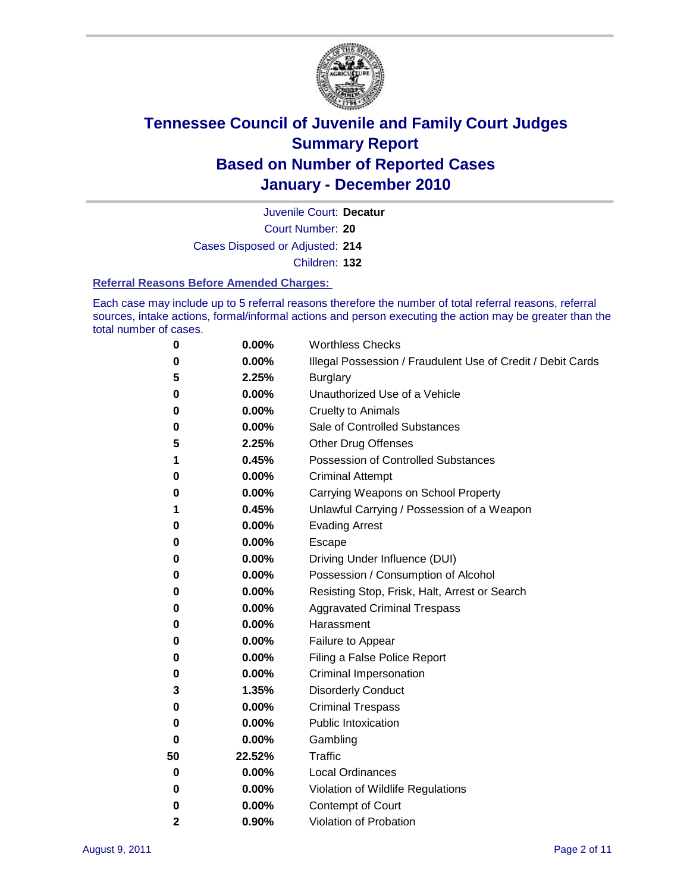

Juvenile Court: **Decatur**

Court Number: **20**

Cases Disposed or Adjusted: **214**

Children: **132**

#### **Referral Reasons Before Amended Charges:**

Each case may include up to 5 referral reasons therefore the number of total referral reasons, referral sources, intake actions, formal/informal actions and person executing the action may be greater than the total number of cases.

| 0            | 0.00%  | <b>Worthless Checks</b>                                     |
|--------------|--------|-------------------------------------------------------------|
| 0            | 0.00%  | Illegal Possession / Fraudulent Use of Credit / Debit Cards |
| 5            | 2.25%  | <b>Burglary</b>                                             |
| 0            | 0.00%  | Unauthorized Use of a Vehicle                               |
| 0            | 0.00%  | <b>Cruelty to Animals</b>                                   |
| 0            | 0.00%  | Sale of Controlled Substances                               |
| 5            | 2.25%  | <b>Other Drug Offenses</b>                                  |
| 1            | 0.45%  | <b>Possession of Controlled Substances</b>                  |
| 0            | 0.00%  | <b>Criminal Attempt</b>                                     |
| 0            | 0.00%  | Carrying Weapons on School Property                         |
| 1            | 0.45%  | Unlawful Carrying / Possession of a Weapon                  |
| 0            | 0.00%  | <b>Evading Arrest</b>                                       |
| 0            | 0.00%  | Escape                                                      |
| 0            | 0.00%  | Driving Under Influence (DUI)                               |
| 0            | 0.00%  | Possession / Consumption of Alcohol                         |
| 0            | 0.00%  | Resisting Stop, Frisk, Halt, Arrest or Search               |
| 0            | 0.00%  | <b>Aggravated Criminal Trespass</b>                         |
| 0            | 0.00%  | Harassment                                                  |
| 0            | 0.00%  | Failure to Appear                                           |
| 0            | 0.00%  | Filing a False Police Report                                |
| 0            | 0.00%  | Criminal Impersonation                                      |
| 3            | 1.35%  | <b>Disorderly Conduct</b>                                   |
| 0            | 0.00%  | <b>Criminal Trespass</b>                                    |
| 0            | 0.00%  | <b>Public Intoxication</b>                                  |
| 0            | 0.00%  | Gambling                                                    |
| 50           | 22.52% | <b>Traffic</b>                                              |
| 0            | 0.00%  | <b>Local Ordinances</b>                                     |
| 0            | 0.00%  | Violation of Wildlife Regulations                           |
| 0            | 0.00%  | Contempt of Court                                           |
| $\mathbf{2}$ | 0.90%  | Violation of Probation                                      |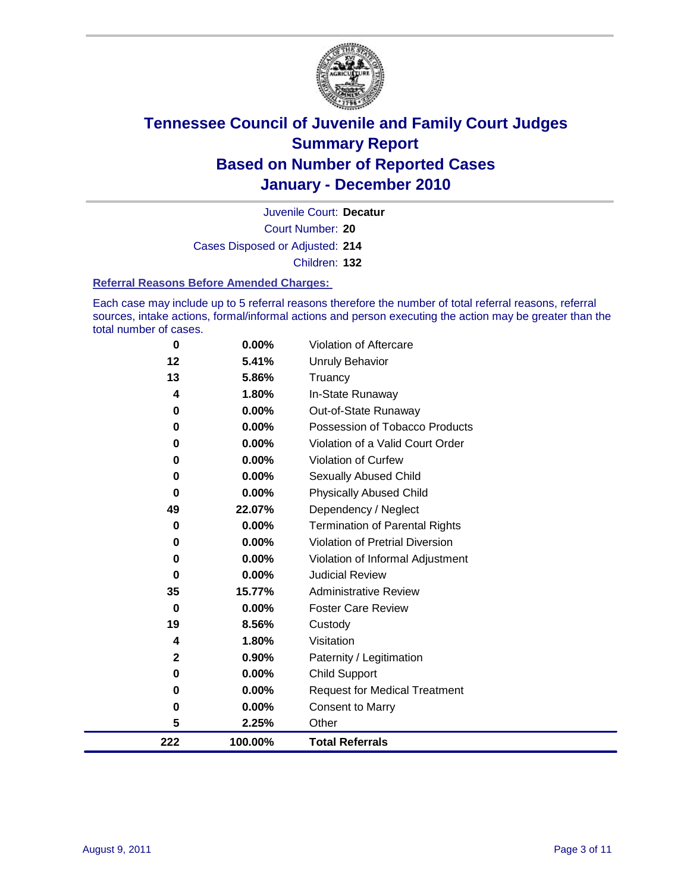

Court Number: **20** Juvenile Court: **Decatur** Cases Disposed or Adjusted: **214** Children: **132**

**Referral Reasons Before Amended Charges:** 

Each case may include up to 5 referral reasons therefore the number of total referral reasons, referral sources, intake actions, formal/informal actions and person executing the action may be greater than the total number of cases.

| 222          | 100.00% | <b>Total Referrals</b>                 |
|--------------|---------|----------------------------------------|
| 5            | 2.25%   | Other                                  |
| 0            | 0.00%   | <b>Consent to Marry</b>                |
| 0            | 0.00%   | <b>Request for Medical Treatment</b>   |
| 0            | 0.00%   | <b>Child Support</b>                   |
| $\mathbf{2}$ | 0.90%   | Paternity / Legitimation               |
| 4            | 1.80%   | Visitation                             |
| 19           | 8.56%   | Custody                                |
| 0            | 0.00%   | <b>Foster Care Review</b>              |
| 35           | 15.77%  | <b>Administrative Review</b>           |
| $\bf{0}$     | 0.00%   | <b>Judicial Review</b>                 |
| 0            | 0.00%   | Violation of Informal Adjustment       |
| $\bf{0}$     | 0.00%   | <b>Violation of Pretrial Diversion</b> |
| 0            | 0.00%   | <b>Termination of Parental Rights</b>  |
| 49           | 22.07%  | Dependency / Neglect                   |
| $\bf{0}$     | 0.00%   | <b>Physically Abused Child</b>         |
| 0            | 0.00%   | Sexually Abused Child                  |
| $\bf{0}$     | 0.00%   | <b>Violation of Curfew</b>             |
| 0            | 0.00%   | Violation of a Valid Court Order       |
| $\bf{0}$     | 0.00%   | Possession of Tobacco Products         |
| 0            | 0.00%   | Out-of-State Runaway                   |
| 4            | 1.80%   | In-State Runaway                       |
| 13           | 5.86%   | Truancy                                |
| 12           | 5.41%   | <b>Unruly Behavior</b>                 |
| 0            | 0.00%   | Violation of Aftercare                 |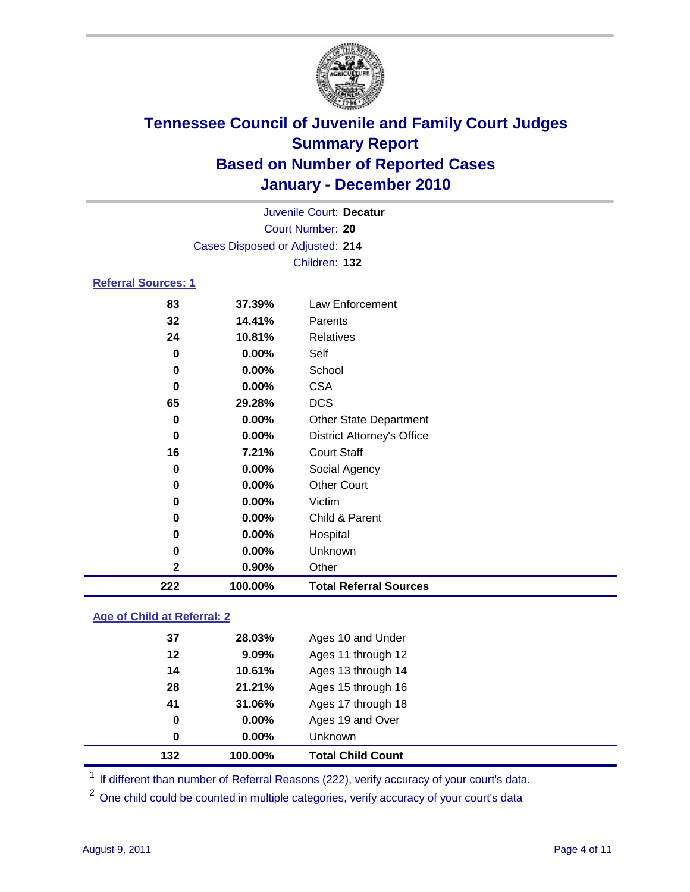

| Juvenile Court: Decatur    |                                 |                                   |  |  |  |
|----------------------------|---------------------------------|-----------------------------------|--|--|--|
|                            | Court Number: 20                |                                   |  |  |  |
|                            | Cases Disposed or Adjusted: 214 |                                   |  |  |  |
|                            | Children: 132                   |                                   |  |  |  |
| <b>Referral Sources: 1</b> |                                 |                                   |  |  |  |
| 83                         | 37.39%                          | Law Enforcement                   |  |  |  |
| 32                         | 14.41%                          | Parents                           |  |  |  |
| 24                         | 10.81%                          | <b>Relatives</b>                  |  |  |  |
| 0                          | 0.00%                           | Self                              |  |  |  |
| $\bf{0}$                   | 0.00%                           | School                            |  |  |  |
| $\bf{0}$                   | 0.00%                           | <b>CSA</b>                        |  |  |  |
| 65                         | 29.28%                          | <b>DCS</b>                        |  |  |  |
| 0                          | 0.00%                           | <b>Other State Department</b>     |  |  |  |
| 0                          | 0.00%                           | <b>District Attorney's Office</b> |  |  |  |
| 16                         | 7.21%                           | <b>Court Staff</b>                |  |  |  |
| 0                          | 0.00%                           | Social Agency                     |  |  |  |
| 0                          | 0.00%                           | <b>Other Court</b>                |  |  |  |
| 0                          | 0.00%                           | Victim                            |  |  |  |
| $\bf{0}$                   | 0.00%                           | Child & Parent                    |  |  |  |
| 0                          | 0.00%                           | Hospital                          |  |  |  |
| 0                          | 0.00%                           | Unknown                           |  |  |  |
| 2                          | 0.90%                           | Other                             |  |  |  |
| 222                        | 100.00%                         | <b>Total Referral Sources</b>     |  |  |  |

#### **Age of Child at Referral: 2**

| 132 | 100.00%    | <b>Total Child Count</b> |
|-----|------------|--------------------------|
|     | 0.00%<br>0 | Unknown                  |
|     | 0<br>0.00% | Ages 19 and Over         |
| 41  | 31.06%     | Ages 17 through 18       |
| 28  | 21.21%     | Ages 15 through 16       |
| 14  | 10.61%     | Ages 13 through 14       |
| 12  | 9.09%      | Ages 11 through 12       |
| 37  | 28.03%     | Ages 10 and Under        |
|     |            |                          |

<sup>1</sup> If different than number of Referral Reasons (222), verify accuracy of your court's data.

<sup>2</sup> One child could be counted in multiple categories, verify accuracy of your court's data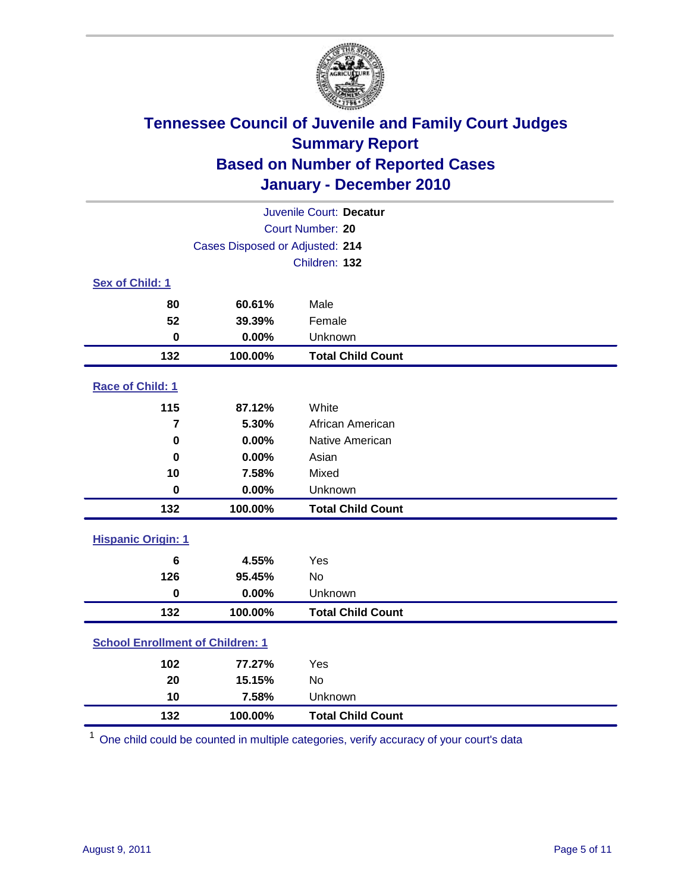

| Juvenile Court: Decatur                 |                                 |                          |  |  |  |
|-----------------------------------------|---------------------------------|--------------------------|--|--|--|
| Court Number: 20                        |                                 |                          |  |  |  |
|                                         | Cases Disposed or Adjusted: 214 |                          |  |  |  |
|                                         |                                 | Children: 132            |  |  |  |
| Sex of Child: 1                         |                                 |                          |  |  |  |
| 80                                      | 60.61%                          | Male                     |  |  |  |
| 52                                      | 39.39%                          | Female                   |  |  |  |
| $\mathbf 0$                             | 0.00%                           | Unknown                  |  |  |  |
| 132                                     | 100.00%                         | <b>Total Child Count</b> |  |  |  |
| Race of Child: 1                        |                                 |                          |  |  |  |
| 115                                     | 87.12%                          | White                    |  |  |  |
| $\overline{7}$                          | 5.30%                           | African American         |  |  |  |
| $\mathbf 0$                             | 0.00%                           | Native American          |  |  |  |
| $\mathbf 0$                             | 0.00%                           | Asian                    |  |  |  |
| 10                                      | 7.58%                           | Mixed                    |  |  |  |
| $\pmb{0}$                               | 0.00%                           | Unknown                  |  |  |  |
| 132                                     | 100.00%                         | <b>Total Child Count</b> |  |  |  |
| <b>Hispanic Origin: 1</b>               |                                 |                          |  |  |  |
| $6\phantom{1}$                          | 4.55%                           | Yes                      |  |  |  |
| 126                                     | 95.45%                          | No                       |  |  |  |
| $\mathbf 0$                             | 0.00%                           | Unknown                  |  |  |  |
| 132                                     | 100.00%                         | <b>Total Child Count</b> |  |  |  |
| <b>School Enrollment of Children: 1</b> |                                 |                          |  |  |  |
| 102                                     | 77.27%                          | Yes                      |  |  |  |
| 20                                      | 15.15%                          | No                       |  |  |  |
| 10                                      | 7.58%                           | Unknown                  |  |  |  |
| 132                                     | 100.00%                         | <b>Total Child Count</b> |  |  |  |

One child could be counted in multiple categories, verify accuracy of your court's data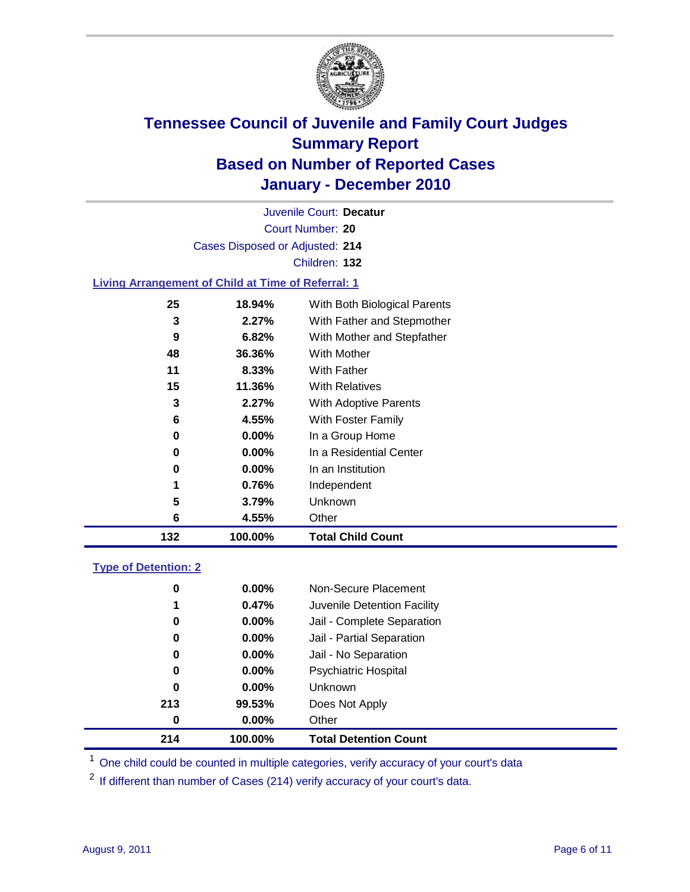

Court Number: **20** Juvenile Court: **Decatur** Cases Disposed or Adjusted: **214** Children: **132 Living Arrangement of Child at Time of Referral: 1 18.94%** With Both Biological Parents **2.27%** With Father and Stepmother **6.82%** With Mother and Stepfather **36.36%** With Mother **8.33%** With Father

| 132 | 100.00%  | <b>Total Child Count</b>  |
|-----|----------|---------------------------|
| 6   | 4.55%    | Other                     |
| 5   | 3.79%    | Unknown                   |
| 1   | 0.76%    | Independent               |
| 0   | $0.00\%$ | In an Institution         |
| 0   | $0.00\%$ | In a Residential Center   |
| 0   | $0.00\%$ | In a Group Home           |
| 6   | 4.55%    | <b>With Foster Family</b> |
| 3   | 2.27%    | With Adoptive Parents     |
| 15  | 11.36%   | <b>With Relatives</b>     |
| 11  | 8.33%    | With Father               |
| 48  | 36.36%   | With Mother               |

#### **Type of Detention: 2**

| 214 | 100.00%  | <b>Total Detention Count</b> |  |
|-----|----------|------------------------------|--|
| 0   | 0.00%    | Other                        |  |
| 213 | 99.53%   | Does Not Apply               |  |
| 0   | $0.00\%$ | Unknown                      |  |
| 0   | $0.00\%$ | Psychiatric Hospital         |  |
| 0   | 0.00%    | Jail - No Separation         |  |
| 0   | $0.00\%$ | Jail - Partial Separation    |  |
| 0   | $0.00\%$ | Jail - Complete Separation   |  |
| 1   | 0.47%    | Juvenile Detention Facility  |  |
| 0   | $0.00\%$ | Non-Secure Placement         |  |
|     |          |                              |  |

<sup>1</sup> One child could be counted in multiple categories, verify accuracy of your court's data

<sup>2</sup> If different than number of Cases (214) verify accuracy of your court's data.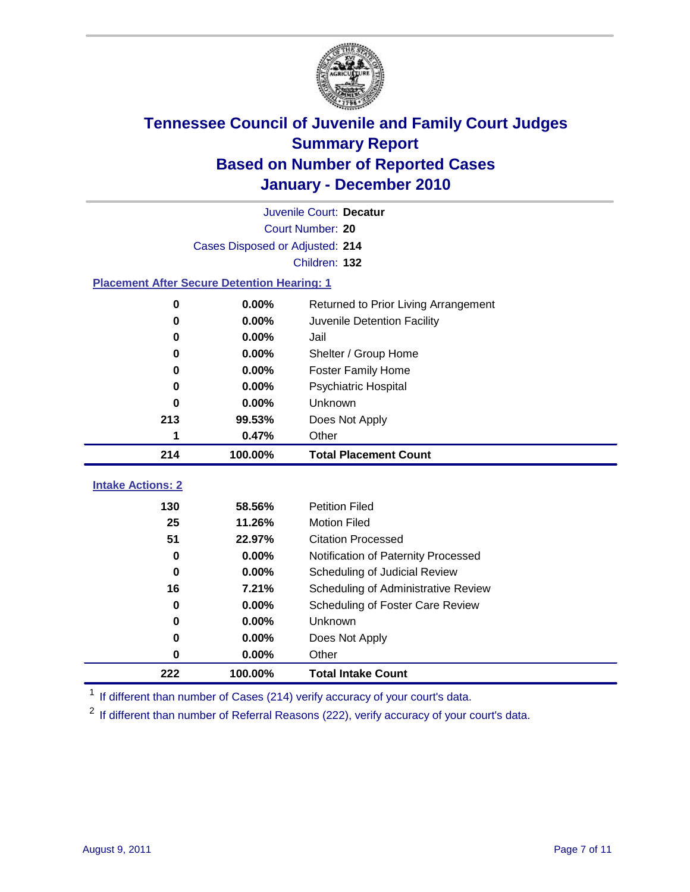

| Juvenile Court: Decatur                            |                                 |                                      |  |  |  |
|----------------------------------------------------|---------------------------------|--------------------------------------|--|--|--|
|                                                    | Court Number: 20                |                                      |  |  |  |
|                                                    | Cases Disposed or Adjusted: 214 |                                      |  |  |  |
|                                                    |                                 | Children: 132                        |  |  |  |
| <b>Placement After Secure Detention Hearing: 1</b> |                                 |                                      |  |  |  |
| 0                                                  | 0.00%                           | Returned to Prior Living Arrangement |  |  |  |
| 0                                                  | 0.00%                           | Juvenile Detention Facility          |  |  |  |
| 0                                                  | 0.00%                           | Jail                                 |  |  |  |
| 0                                                  | 0.00%                           | Shelter / Group Home                 |  |  |  |
| 0                                                  | 0.00%                           | <b>Foster Family Home</b>            |  |  |  |
| 0                                                  | 0.00%                           | Psychiatric Hospital                 |  |  |  |
| O                                                  | 0.00%                           | Unknown                              |  |  |  |
| 213                                                | 99.53%                          | Does Not Apply                       |  |  |  |
| 1                                                  | 0.47%                           | Other                                |  |  |  |
| 214                                                | 100.00%                         | <b>Total Placement Count</b>         |  |  |  |
| <b>Intake Actions: 2</b>                           |                                 |                                      |  |  |  |
|                                                    |                                 |                                      |  |  |  |
| 130                                                | 58.56%                          | <b>Petition Filed</b>                |  |  |  |
| 25                                                 | 11.26%                          | <b>Motion Filed</b>                  |  |  |  |
| 51                                                 | 22.97%                          | <b>Citation Processed</b>            |  |  |  |
| 0                                                  | 0.00%                           | Notification of Paternity Processed  |  |  |  |
| $\mathbf 0$                                        | 0.00%                           | Scheduling of Judicial Review        |  |  |  |
| 16                                                 | 7.21%                           | Scheduling of Administrative Review  |  |  |  |
| 0                                                  | 0.00%                           | Scheduling of Foster Care Review     |  |  |  |
| 0                                                  | 0.00%                           | Unknown                              |  |  |  |
| 0                                                  | 0.00%                           | Does Not Apply                       |  |  |  |
| 0                                                  | 0.00%                           | Other                                |  |  |  |
| 222                                                | 100.00%                         | <b>Total Intake Count</b>            |  |  |  |

<sup>1</sup> If different than number of Cases (214) verify accuracy of your court's data.

<sup>2</sup> If different than number of Referral Reasons (222), verify accuracy of your court's data.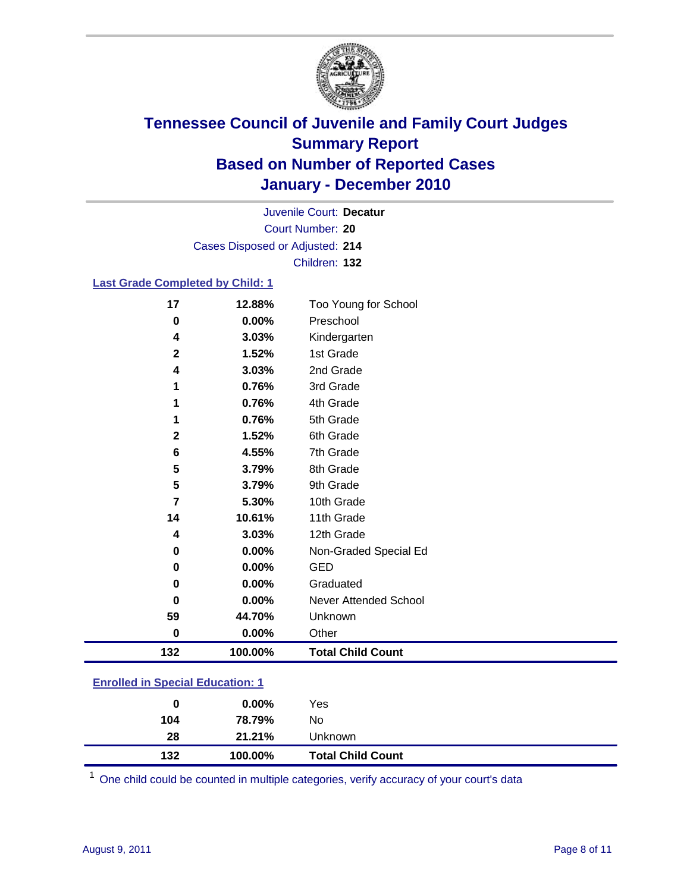

Court Number: **20** Juvenile Court: **Decatur** Cases Disposed or Adjusted: **214** Children: **132**

#### **Last Grade Completed by Child: 1**

| 17       | 12.88%  | Too Young for School     |  |
|----------|---------|--------------------------|--|
| $\bf{0}$ | 0.00%   | Preschool                |  |
| 4        | 3.03%   | Kindergarten             |  |
| 2        | 1.52%   | 1st Grade                |  |
| 4        | 3.03%   | 2nd Grade                |  |
| 1        | 0.76%   | 3rd Grade                |  |
| 1        | 0.76%   | 4th Grade                |  |
| 1        | 0.76%   | 5th Grade                |  |
| 2        | 1.52%   | 6th Grade                |  |
| 6        | 4.55%   | 7th Grade                |  |
| 5        | 3.79%   | 8th Grade                |  |
| 5        | 3.79%   | 9th Grade                |  |
| 7        | 5.30%   | 10th Grade               |  |
| 14       | 10.61%  | 11th Grade               |  |
| 4        | 3.03%   | 12th Grade               |  |
| 0        | 0.00%   | Non-Graded Special Ed    |  |
| $\bf{0}$ | 0.00%   | <b>GED</b>               |  |
| 0        | 0.00%   | Graduated                |  |
| 0        | 0.00%   | Never Attended School    |  |
| 59       | 44.70%  | Unknown                  |  |
| $\bf{0}$ | 0.00%   | Other                    |  |
| 132      | 100.00% | <b>Total Child Count</b> |  |

#### **Enrolled in Special Education: 1**

| 0   | $0.00\%$ | Yes                      |
|-----|----------|--------------------------|
| 104 | 78.79%   | No                       |
| 28  | 21.21%   | <b>Unknown</b>           |
| 132 | 100.00%  | <b>Total Child Count</b> |

One child could be counted in multiple categories, verify accuracy of your court's data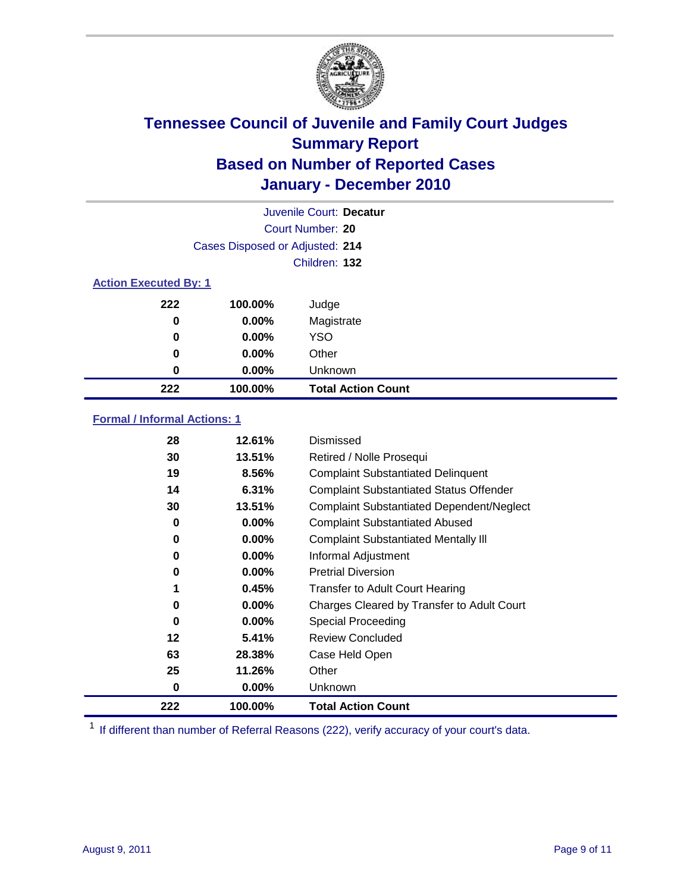

| Juvenile Court: Decatur      |                                 |                           |  |
|------------------------------|---------------------------------|---------------------------|--|
|                              |                                 | Court Number: 20          |  |
|                              | Cases Disposed or Adjusted: 214 |                           |  |
|                              |                                 | Children: 132             |  |
| <b>Action Executed By: 1</b> |                                 |                           |  |
| 222                          | 100.00%                         | Judge                     |  |
| $\bf{0}$                     | $0.00\%$                        | Magistrate                |  |
| $\bf{0}$                     | $0.00\%$                        | <b>YSO</b>                |  |
| 0                            | 0.00%                           | Other                     |  |
| 0                            | 0.00%                           | Unknown                   |  |
| 222                          | 100.00%                         | <b>Total Action Count</b> |  |

#### **Formal / Informal Actions: 1**

| 28  | 12.61%   | Dismissed                                        |
|-----|----------|--------------------------------------------------|
| 30  | 13.51%   | Retired / Nolle Prosequi                         |
| 19  | 8.56%    | <b>Complaint Substantiated Delinquent</b>        |
| 14  | 6.31%    | <b>Complaint Substantiated Status Offender</b>   |
| 30  | 13.51%   | <b>Complaint Substantiated Dependent/Neglect</b> |
| 0   | $0.00\%$ | <b>Complaint Substantiated Abused</b>            |
| 0   | $0.00\%$ | <b>Complaint Substantiated Mentally III</b>      |
| 0   | $0.00\%$ | Informal Adjustment                              |
| 0   | $0.00\%$ | <b>Pretrial Diversion</b>                        |
| 1   | 0.45%    | <b>Transfer to Adult Court Hearing</b>           |
| 0   | 0.00%    | Charges Cleared by Transfer to Adult Court       |
| 0   | $0.00\%$ | Special Proceeding                               |
| 12  | 5.41%    | <b>Review Concluded</b>                          |
| 63  | 28.38%   | Case Held Open                                   |
| 25  | 11.26%   | Other                                            |
| 0   | $0.00\%$ | Unknown                                          |
| 222 | 100.00%  | <b>Total Action Count</b>                        |

<sup>1</sup> If different than number of Referral Reasons (222), verify accuracy of your court's data.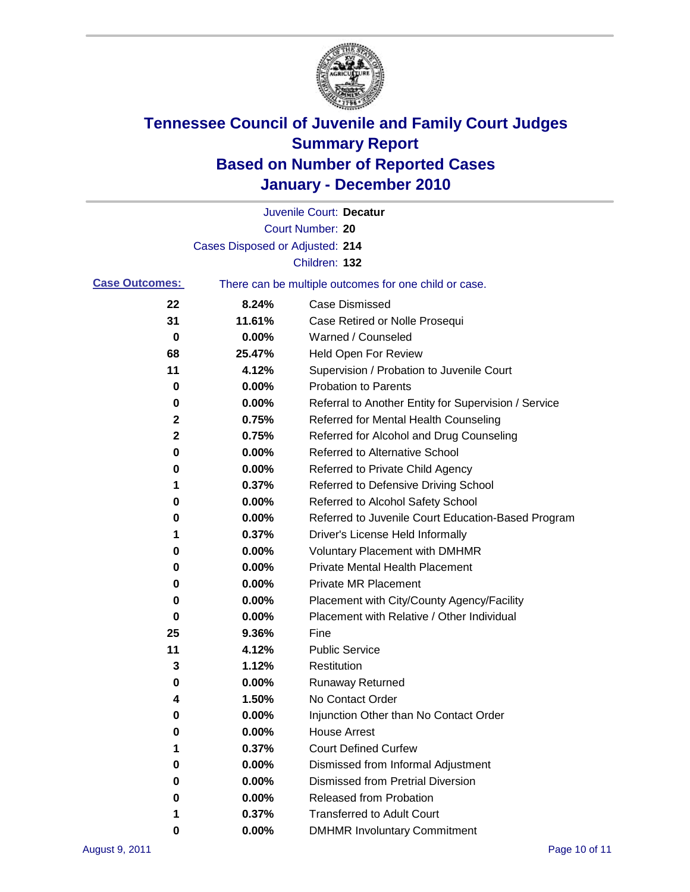

|                       |                                 | Juvenile Court: Decatur                               |
|-----------------------|---------------------------------|-------------------------------------------------------|
|                       |                                 | Court Number: 20                                      |
|                       | Cases Disposed or Adjusted: 214 |                                                       |
|                       |                                 | Children: 132                                         |
| <b>Case Outcomes:</b> |                                 | There can be multiple outcomes for one child or case. |
| 22                    | 8.24%                           | <b>Case Dismissed</b>                                 |
| 31                    | 11.61%                          | Case Retired or Nolle Prosequi                        |
| 0                     | 0.00%                           | Warned / Counseled                                    |
| 68                    | 25.47%                          | <b>Held Open For Review</b>                           |
| 11                    | 4.12%                           | Supervision / Probation to Juvenile Court             |
| 0                     | 0.00%                           | <b>Probation to Parents</b>                           |
| 0                     | 0.00%                           | Referral to Another Entity for Supervision / Service  |
| 2                     | 0.75%                           | Referred for Mental Health Counseling                 |
| 2                     | 0.75%                           | Referred for Alcohol and Drug Counseling              |
| 0                     | 0.00%                           | <b>Referred to Alternative School</b>                 |
| 0                     | 0.00%                           | Referred to Private Child Agency                      |
| 1                     | 0.37%                           | Referred to Defensive Driving School                  |
| 0                     | 0.00%                           | Referred to Alcohol Safety School                     |
| 0                     | 0.00%                           | Referred to Juvenile Court Education-Based Program    |
| 1                     | 0.37%                           | Driver's License Held Informally                      |
| 0                     | 0.00%                           | <b>Voluntary Placement with DMHMR</b>                 |
| 0                     | 0.00%                           | <b>Private Mental Health Placement</b>                |
| 0                     | 0.00%                           | <b>Private MR Placement</b>                           |
| 0                     | 0.00%                           | Placement with City/County Agency/Facility            |
| 0                     | 0.00%                           | Placement with Relative / Other Individual            |
| 25                    | 9.36%                           | Fine                                                  |
| 11                    | 4.12%                           | <b>Public Service</b>                                 |
| 3                     | 1.12%                           | Restitution                                           |
| 0                     | 0.00%                           | Runaway Returned                                      |
| 4                     | 1.50%                           | No Contact Order                                      |
| 0                     | 0.00%                           | Injunction Other than No Contact Order                |
| 0                     | 0.00%                           | <b>House Arrest</b>                                   |
| 1                     | 0.37%                           | <b>Court Defined Curfew</b>                           |
| 0                     | 0.00%                           | Dismissed from Informal Adjustment                    |
| 0                     | 0.00%                           | <b>Dismissed from Pretrial Diversion</b>              |
| 0                     | 0.00%                           | Released from Probation                               |
| 1                     | 0.37%                           | <b>Transferred to Adult Court</b>                     |
| 0                     | $0.00\%$                        | <b>DMHMR Involuntary Commitment</b>                   |